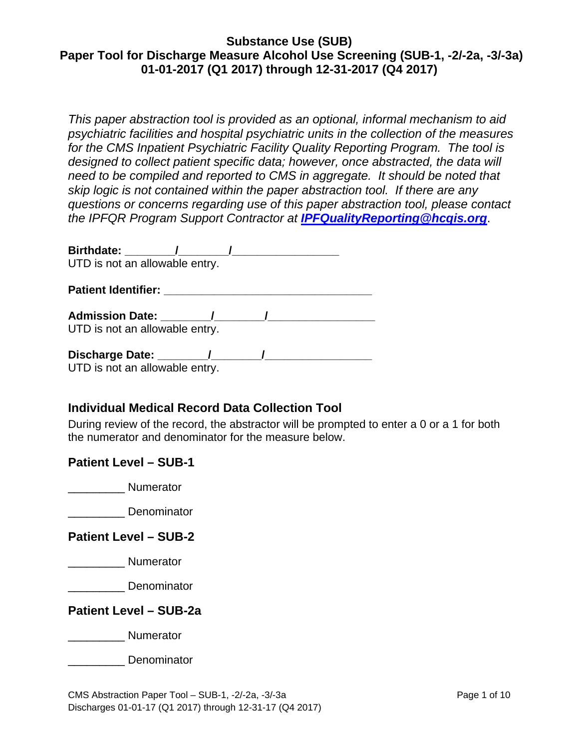*This paper abstraction tool is provided as an optional, informal mechanism to aid psychiatric facilities and hospital psychiatric units in the collection of the measures for the CMS Inpatient Psychiatric Facility Quality Reporting Program. The tool is designed to collect patient specific data; however, once abstracted, the data will need to be compiled and reported to CMS in aggregate. It should be noted that skip logic is not contained within the paper abstraction tool. If there are any questions or concerns regarding use of this paper abstraction tool, please contact the IPFQR Program Support Contractor at [IPFQualityReporting@hcqis.org](mailto:IPFQualityReporting@hcqis.org)*.

| Birthdate: /                   |  |  |  |
|--------------------------------|--|--|--|
| UTD is not an allowable entry. |  |  |  |
| <b>Patient Identifier:</b>     |  |  |  |
| Admission Date: (a)            |  |  |  |
| UTD is not an allowable entry. |  |  |  |
| Discharge Date: 1 1            |  |  |  |
| UTD is not an allowable entry. |  |  |  |

# **Individual Medical Record Data Collection Tool**

During review of the record, the abstractor will be prompted to enter a 0 or a 1 for both the numerator and denominator for the measure below.

### **Patient Level – SUB-1**

\_\_\_\_\_\_\_\_\_ Numerator

\_\_\_\_\_\_\_\_\_ Denominator

## **Patient Level – SUB-2**

\_\_\_\_\_\_\_\_\_ Numerator

\_\_\_\_\_\_\_\_\_ Denominator

**Patient Level – SUB-2a**

\_\_\_\_\_\_\_\_\_ Numerator

\_\_\_\_\_\_\_\_\_ Denominator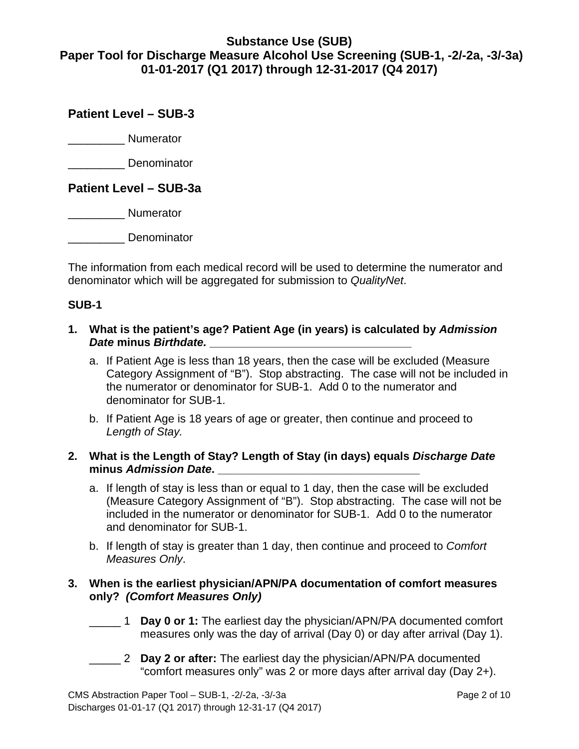# **Patient Level – SUB-3**

\_\_\_\_\_\_\_\_\_ Numerator

\_\_\_\_\_\_\_\_\_ Denominator

### **Patient Level – SUB-3a**

\_\_\_\_\_\_\_\_\_ Numerator

\_\_\_\_\_\_\_\_\_ Denominator

The information from each medical record will be used to determine the numerator and denominator which will be aggregated for submission to *QualityNet*.

### **SUB-1**

- **1. What is the patient's age? Patient Age (in years) is calculated by** *Admission Date* **minus** *Birthdate.* **\_\_\_\_\_\_\_\_\_\_\_\_\_\_\_\_\_\_\_\_\_\_\_\_\_\_\_\_\_\_\_\_**
	- a. If Patient Age is less than 18 years, then the case will be excluded (Measure Category Assignment of "B"). Stop abstracting. The case will not be included in the numerator or denominator for SUB-1. Add 0 to the numerator and denominator for SUB-1.
	- b. If Patient Age is 18 years of age or greater, then continue and proceed to *Length of Stay.*

### **2. What is the Length of Stay? Length of Stay (in days) equals** *Discharge Date* **minus** *Admission Date***. \_\_\_\_\_\_\_\_\_\_\_\_\_\_\_\_\_\_\_\_\_\_\_\_\_\_\_\_\_\_\_\_**

- a. If length of stay is less than or equal to 1 day, then the case will be excluded (Measure Category Assignment of "B"). Stop abstracting. The case will not be included in the numerator or denominator for SUB-1. Add 0 to the numerator and denominator for SUB-1.
- b. If length of stay is greater than 1 day, then continue and proceed to *Comfort Measures Only*.

### **3. When is the earliest physician/APN/PA documentation of comfort measures only?** *(Comfort Measures Only)*

- \_\_\_\_\_ 1 **Day 0 or 1:** The earliest day the physician/APN/PA documented comfort measures only was the day of arrival (Day 0) or day after arrival (Day 1).
- \_\_\_\_\_ 2 **Day 2 or after:** The earliest day the physician/APN/PA documented "comfort measures only" was 2 or more days after arrival day (Day 2+).

CMS Abstraction Paper Tool – SUB-1, -2/-2a, -3/-3a Page 2 of 10 Discharges 01-01-17 (Q1 2017) through 12-31-17 (Q4 2017)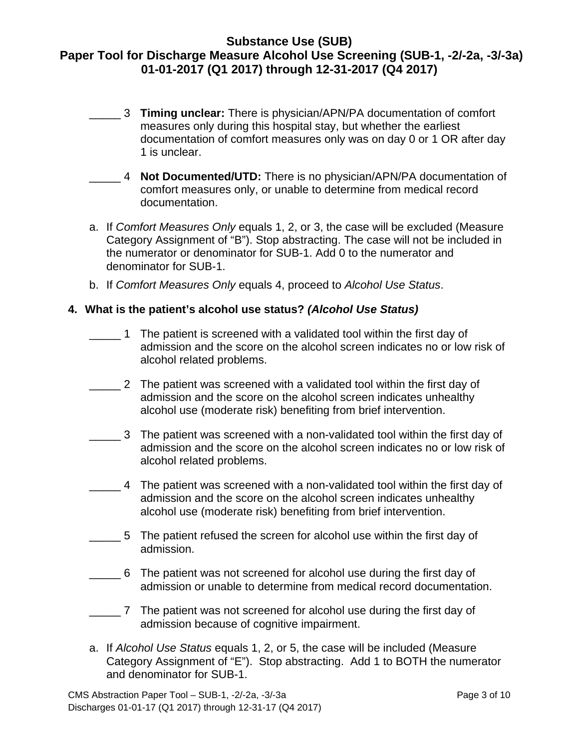- \_\_\_\_\_ 3 **Timing unclear:** There is physician/APN/PA documentation of comfort measures only during this hospital stay, but whether the earliest documentation of comfort measures only was on day 0 or 1 OR after day 1 is unclear.
- \_\_\_\_\_ 4 **Not Documented/UTD:** There is no physician/APN/PA documentation of comfort measures only, or unable to determine from medical record documentation.
- a. If *Comfort Measures Only* equals 1, 2, or 3, the case will be excluded (Measure Category Assignment of "B"). Stop abstracting. The case will not be included in the numerator or denominator for SUB-1. Add 0 to the numerator and denominator for SUB-1.
- b. If *Comfort Measures Only* equals 4, proceed to *Alcohol Use Status*.

### **4. What is the patient's alcohol use status?** *(Alcohol Use Status)*

- \_\_\_\_\_ 1 The patient is screened with a validated tool within the first day of admission and the score on the alcohol screen indicates no or low risk of alcohol related problems.
- \_\_\_\_\_ 2 The patient was screened with a validated tool within the first day of admission and the score on the alcohol screen indicates unhealthy alcohol use (moderate risk) benefiting from brief intervention.
- \_\_\_\_\_ 3 The patient was screened with a non-validated tool within the first day of admission and the score on the alcohol screen indicates no or low risk of alcohol related problems.
- \_\_\_\_\_ 4 The patient was screened with a non-validated tool within the first day of admission and the score on the alcohol screen indicates unhealthy alcohol use (moderate risk) benefiting from brief intervention.
- \_\_\_\_\_ 5 The patient refused the screen for alcohol use within the first day of admission.
- \_\_\_\_\_ 6 The patient was not screened for alcohol use during the first day of admission or unable to determine from medical record documentation.
- \_\_\_\_\_ 7 The patient was not screened for alcohol use during the first day of admission because of cognitive impairment.
- a. If *Alcohol Use Status* equals 1, 2, or 5, the case will be included (Measure Category Assignment of "E"). Stop abstracting. Add 1 to BOTH the numerator and denominator for SUB-1.

CMS Abstraction Paper Tool – SUB-1, -2/-2a, -3/-3a Page 3 of 10 Discharges 01-01-17 (Q1 2017) through 12-31-17 (Q4 2017)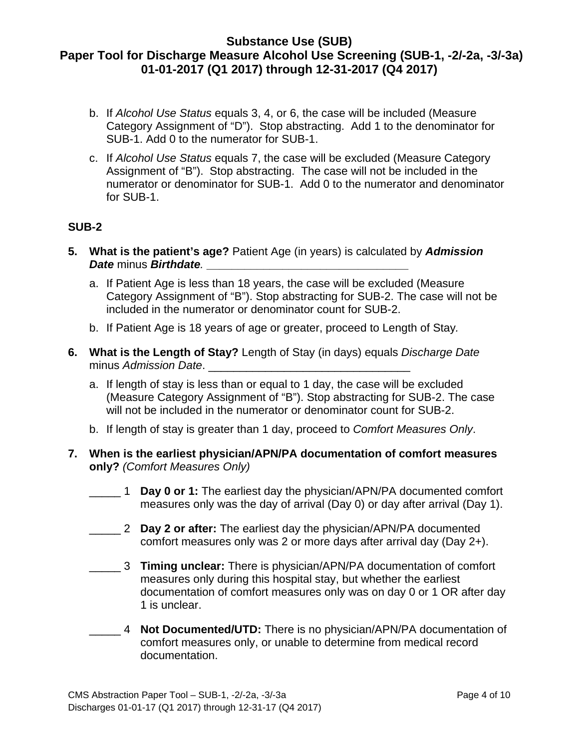- b. If *Alcohol Use Status* equals 3, 4, or 6, the case will be included (Measure Category Assignment of "D"). Stop abstracting. Add 1 to the denominator for SUB-1. Add 0 to the numerator for SUB-1.
- c. If *Alcohol Use Status* equals 7, the case will be excluded (Measure Category Assignment of "B"). Stop abstracting. The case will not be included in the numerator or denominator for SUB-1. Add 0 to the numerator and denominator for SUB-1.

### **SUB-2**

- **5. What is the patient's age?** Patient Age (in years) is calculated by *Admission Date* minus *Birthdate.* **\_\_\_\_\_\_\_\_\_\_\_\_\_\_\_\_\_\_\_\_\_\_\_\_\_\_\_\_\_\_\_\_**
	- a. If Patient Age is less than 18 years, the case will be excluded (Measure Category Assignment of "B"). Stop abstracting for SUB-2. The case will not be included in the numerator or denominator count for SUB-2.
	- b. If Patient Age is 18 years of age or greater, proceed to Length of Stay*.*
- **6. What is the Length of Stay?** Length of Stay (in days) equals *Discharge Date* minus *Admission Date*.
	- a. If length of stay is less than or equal to 1 day, the case will be excluded (Measure Category Assignment of "B"). Stop abstracting for SUB-2. The case will not be included in the numerator or denominator count for SUB-2.
	- b. If length of stay is greater than 1 day, proceed to *Comfort Measures Only*.
- **7. When is the earliest physician/APN/PA documentation of comfort measures only?** *(Comfort Measures Only)*
	- \_\_\_\_\_ 1 **Day 0 or 1:** The earliest day the physician/APN/PA documented comfort measures only was the day of arrival (Day 0) or day after arrival (Day 1).
	- \_\_\_\_\_ 2 **Day 2 or after:** The earliest day the physician/APN/PA documented comfort measures only was 2 or more days after arrival day (Day 2+).
	- \_\_\_\_\_ 3 **Timing unclear:** There is physician/APN/PA documentation of comfort measures only during this hospital stay, but whether the earliest documentation of comfort measures only was on day 0 or 1 OR after day 1 is unclear.
	- \_\_\_\_\_ 4 **Not Documented/UTD:** There is no physician/APN/PA documentation of comfort measures only, or unable to determine from medical record documentation.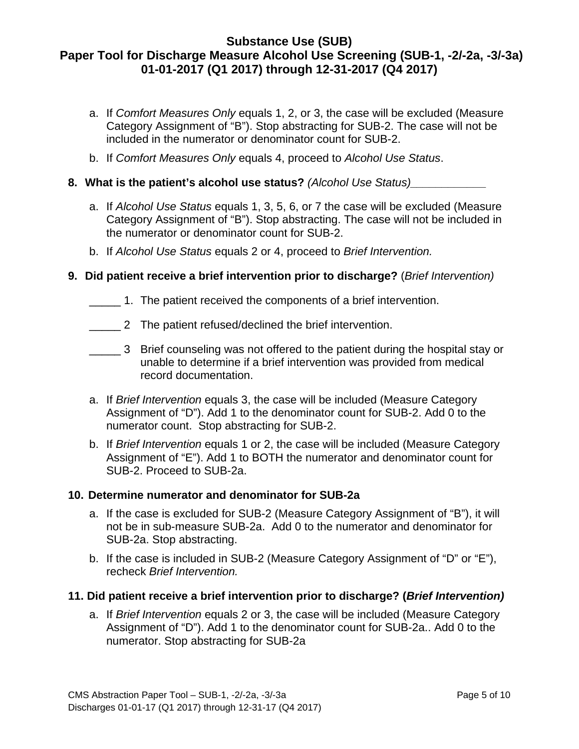- a. If *Comfort Measures Only* equals 1, 2, or 3, the case will be excluded (Measure Category Assignment of "B"). Stop abstracting for SUB-2. The case will not be included in the numerator or denominator count for SUB-2.
- b. If *Comfort Measures Only* equals 4, proceed to *Alcohol Use Status*.

## **8. What is the patient's alcohol use status?** *(Alcohol Use Status)\_\_\_\_\_\_\_\_\_\_\_\_*

- a. If *Alcohol Use Status* equals 1, 3, 5, 6, or 7 the case will be excluded (Measure Category Assignment of "B"). Stop abstracting. The case will not be included in the numerator or denominator count for SUB-2.
- b. If *Alcohol Use Status* equals 2 or 4, proceed to *Brief Intervention.*

## **9. Did patient receive a brief intervention prior to discharge?** (*Brief Intervention)*

- \_\_\_\_\_ 1. The patient received the components of a brief intervention.
- \_\_\_\_\_ 2 The patient refused/declined the brief intervention.
- \_\_\_\_\_ 3 Brief counseling was not offered to the patient during the hospital stay or unable to determine if a brief intervention was provided from medical record documentation.
- a. If *Brief Intervention* equals 3, the case will be included (Measure Category Assignment of "D"). Add 1 to the denominator count for SUB-2. Add 0 to the numerator count. Stop abstracting for SUB-2.
- b. If *Brief Intervention* equals 1 or 2, the case will be included (Measure Category Assignment of "E"). Add 1 to BOTH the numerator and denominator count for SUB-2. Proceed to SUB-2a.

### **10. Determine numerator and denominator for SUB-2a**

- a. If the case is excluded for SUB-2 (Measure Category Assignment of "B"), it will not be in sub-measure SUB-2a. Add 0 to the numerator and denominator for SUB-2a. Stop abstracting.
- b. If the case is included in SUB-2 (Measure Category Assignment of "D" or "E"), recheck *Brief Intervention.*

### **11. Did patient receive a brief intervention prior to discharge? (***Brief Intervention)*

a. If *Brief Intervention* equals 2 or 3, the case will be included (Measure Category Assignment of "D"). Add 1 to the denominator count for SUB-2a.. Add 0 to the numerator. Stop abstracting for SUB-2a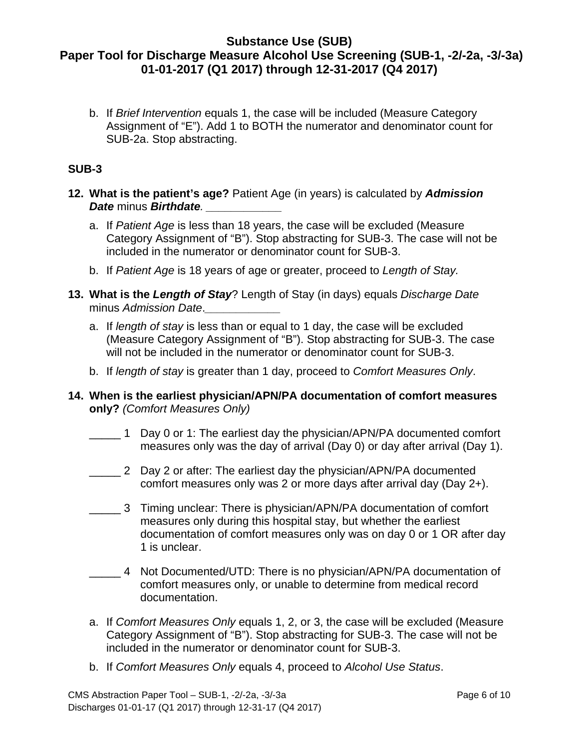b. If *Brief Intervention* equals 1, the case will be included (Measure Category Assignment of "E"). Add 1 to BOTH the numerator and denominator count for SUB-2a. Stop abstracting.

## **SUB-3**

- **12. What is the patient's age?** Patient Age (in years) is calculated by *Admission Date* minus *Birthdate. \_\_\_\_\_\_\_\_\_\_\_\_*
	- a. If *Patient Age* is less than 18 years, the case will be excluded (Measure Category Assignment of "B"). Stop abstracting for SUB-3. The case will not be included in the numerator or denominator count for SUB-3.
	- b. If *Patient Age* is 18 years of age or greater, proceed to *Length of Stay.*
- **13. What is the** *Length of Stay*? Length of Stay (in days) equals *Discharge Date* minus *Admission Date*.*\_\_\_\_\_\_\_\_\_\_\_\_*
	- a. If *length of stay* is less than or equal to 1 day, the case will be excluded (Measure Category Assignment of "B"). Stop abstracting for SUB-3. The case will not be included in the numerator or denominator count for SUB-3.
	- b. If *length of stay* is greater than 1 day, proceed to *Comfort Measures Only*.
- **14. When is the earliest physician/APN/PA documentation of comfort measures only?** *(Comfort Measures Only)*
	- \_\_\_\_\_ 1 Day 0 or 1: The earliest day the physician/APN/PA documented comfort measures only was the day of arrival (Day 0) or day after arrival (Day 1).
	- \_\_\_\_\_ 2 Day 2 or after: The earliest day the physician/APN/PA documented comfort measures only was 2 or more days after arrival day (Day 2+).
	- \_\_\_\_\_ 3 Timing unclear: There is physician/APN/PA documentation of comfort measures only during this hospital stay, but whether the earliest documentation of comfort measures only was on day 0 or 1 OR after day 1 is unclear.
	- \_\_\_\_\_ 4 Not Documented/UTD: There is no physician/APN/PA documentation of comfort measures only, or unable to determine from medical record documentation.
	- a. If *Comfort Measures Only* equals 1, 2, or 3, the case will be excluded (Measure Category Assignment of "B"). Stop abstracting for SUB-3. The case will not be included in the numerator or denominator count for SUB-3.
	- b. If *Comfort Measures Only* equals 4, proceed to *Alcohol Use Status*.

CMS Abstraction Paper Tool – SUB-1, -2/-2a, -3/-3a Page 6 of 10 Discharges 01-01-17 (Q1 2017) through 12-31-17 (Q4 2017)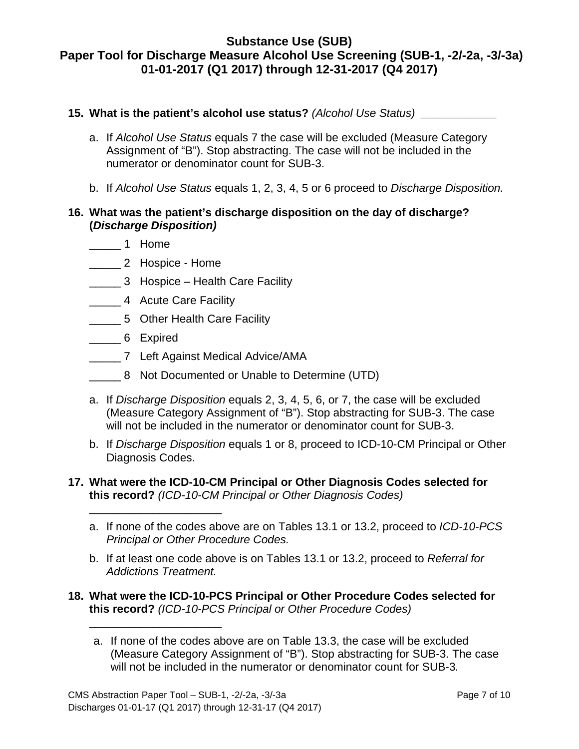## **15. What is the patient's alcohol use status?** *(Alcohol Use Status) \_\_\_\_\_\_\_\_\_\_\_\_*

- a. If *Alcohol Use Status* equals 7 the case will be excluded (Measure Category Assignment of "B"). Stop abstracting. The case will not be included in the numerator or denominator count for SUB-3.
- b. If *Alcohol Use Status* equals 1, 2, 3, 4, 5 or 6 proceed to *Discharge Disposition.*

### **16. What was the patient's discharge disposition on the day of discharge? (***Discharge Disposition)*

- \_\_\_\_\_ 1 Home
- \_\_\_\_\_ 2 Hospice Home

\_\_\_\_\_\_\_\_\_\_\_\_\_\_\_\_\_\_\_\_\_

\_\_\_\_\_\_\_\_\_\_\_\_\_\_\_\_\_\_\_\_\_

- \_\_\_\_\_ 3 Hospice Health Care Facility
- \_\_\_\_\_ 4 Acute Care Facility
- \_\_\_\_\_ 5 Other Health Care Facility
- \_\_\_\_\_ 6 Expired
- \_\_\_\_\_ 7 Left Against Medical Advice/AMA
- \_\_\_\_\_ 8 Not Documented or Unable to Determine (UTD)
- a. If *Discharge Disposition* equals 2, 3, 4, 5, 6, or 7, the case will be excluded (Measure Category Assignment of "B"). Stop abstracting for SUB-3. The case will not be included in the numerator or denominator count for SUB-3.
- b. If *Discharge Disposition* equals 1 or 8, proceed to ICD-10-CM Principal or Other Diagnosis Codes.
- **17. What were the ICD-10-CM Principal or Other Diagnosis Codes selected for this record?** *(ICD-10-CM Principal or Other Diagnosis Codes)*
	- a. If none of the codes above are on Tables 13.1 or 13.2, proceed to *ICD-10-PCS Principal or Other Procedure Codes.*
	- b. If at least one code above is on Tables 13.1 or 13.2, proceed to *Referral for Addictions Treatment.*
- **18. What were the ICD-10-PCS Principal or Other Procedure Codes selected for this record?** *(ICD-10-PCS Principal or Other Procedure Codes)*
	- a. If none of the codes above are on Table 13.3, the case will be excluded (Measure Category Assignment of "B"). Stop abstracting for SUB-3. The case will not be included in the numerator or denominator count for SUB-3*.*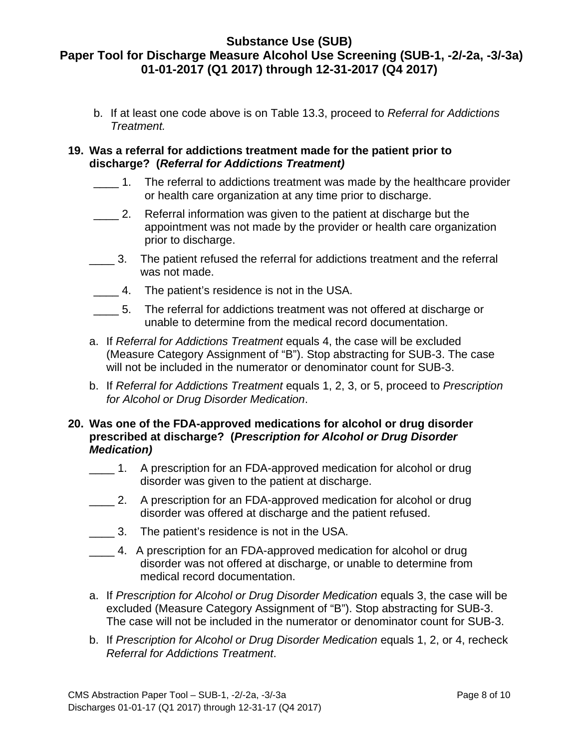b. If at least one code above is on Table 13.3, proceed to *Referral for Addictions Treatment.*

### **19. Was a referral for addictions treatment made for the patient prior to discharge? (***Referral for Addictions Treatment)*

- $\frac{1}{2}$  1. The referral to addictions treatment was made by the healthcare provider or health care organization at any time prior to discharge.
- $\overline{\phantom{a}}$  2. Referral information was given to the patient at discharge but the appointment was not made by the provider or health care organization prior to discharge.
- $\_\_$  3. The patient refused the referral for addictions treatment and the referral was not made.
- \_\_\_\_ 4. The patient's residence is not in the USA.
- $\overline{5}$ . The referral for addictions treatment was not offered at discharge or unable to determine from the medical record documentation.
- a. If *Referral for Addictions Treatment* equals 4, the case will be excluded (Measure Category Assignment of "B"). Stop abstracting for SUB-3. The case will not be included in the numerator or denominator count for SUB-3.
- b. If *Referral for Addictions Treatment* equals 1, 2, 3, or 5, proceed to *Prescription for Alcohol or Drug Disorder Medication*.

### **20. Was one of the FDA-approved medications for alcohol or drug disorder prescribed at discharge? (***Prescription for Alcohol or Drug Disorder Medication)*

- \_\_\_\_ 1. A prescription for an FDA-approved medication for alcohol or drug disorder was given to the patient at discharge.
- \_\_\_\_ 2. A prescription for an FDA-approved medication for alcohol or drug disorder was offered at discharge and the patient refused.
- \_\_\_\_ 3. The patient's residence is not in the USA.
- \_\_\_\_ 4. A prescription for an FDA-approved medication for alcohol or drug disorder was not offered at discharge, or unable to determine from medical record documentation.
- a. If *Prescription for Alcohol or Drug Disorder Medication* equals 3, the case will be excluded (Measure Category Assignment of "B"). Stop abstracting for SUB-3. The case will not be included in the numerator or denominator count for SUB-3.
- b. If *Prescription for Alcohol or Drug Disorder Medication* equals 1, 2, or 4, recheck *Referral for Addictions Treatment*.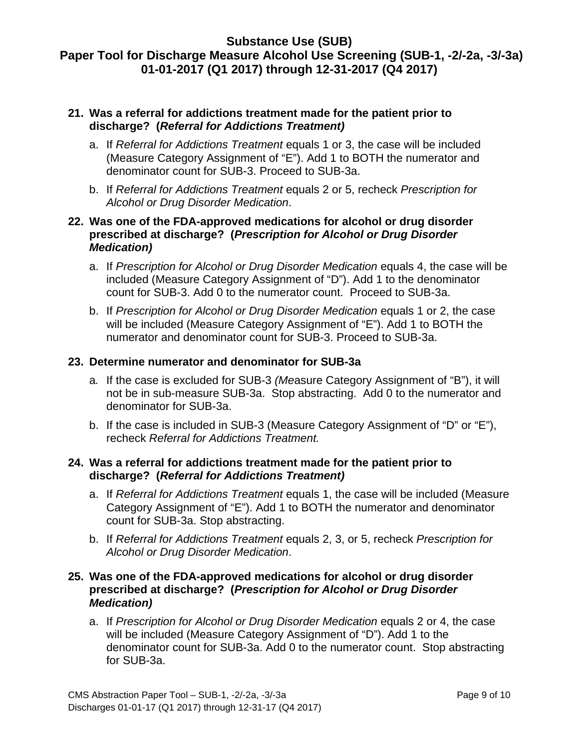### **21. Was a referral for addictions treatment made for the patient prior to discharge? (***Referral for Addictions Treatment)*

- a. If *Referral for Addictions Treatment* equals 1 or 3, the case will be included (Measure Category Assignment of "E"). Add 1 to BOTH the numerator and denominator count for SUB-3. Proceed to SUB-3a.
- b. If *Referral for Addictions Treatment* equals 2 or 5, recheck *Prescription for Alcohol or Drug Disorder Medication*.

### **22. Was one of the FDA-approved medications for alcohol or drug disorder prescribed at discharge? (***Prescription for Alcohol or Drug Disorder Medication)*

- a. If *Prescription for Alcohol or Drug Disorder Medication* equals 4, the case will be included (Measure Category Assignment of "D"). Add 1 to the denominator count for SUB-3. Add 0 to the numerator count. Proceed to SUB-3a.
- b. If *Prescription for Alcohol or Drug Disorder Medication* equals 1 or 2, the case will be included (Measure Category Assignment of "E"). Add 1 to BOTH the numerator and denominator count for SUB-3. Proceed to SUB-3a.

### **23. Determine numerator and denominator for SUB-3a**

- a*.* If the case is excluded for SUB-3 *(Me*asure Category Assignment of "B"), it will not be in sub-measure SUB-3a. Stop abstracting. Add 0 to the numerator and denominator for SUB-3a.
- b. If the case is included in SUB-3 (Measure Category Assignment of "D" or "E"), recheck *Referral for Addictions Treatment.*

### **24. Was a referral for addictions treatment made for the patient prior to discharge? (***Referral for Addictions Treatment)*

- a. If *Referral for Addictions Treatment* equals 1, the case will be included (Measure Category Assignment of "E"). Add 1 to BOTH the numerator and denominator count for SUB-3a. Stop abstracting.
- b. If *Referral for Addictions Treatment* equals 2, 3, or 5, recheck *Prescription for Alcohol or Drug Disorder Medication*.

### **25. Was one of the FDA-approved medications for alcohol or drug disorder prescribed at discharge? (***Prescription for Alcohol or Drug Disorder Medication)*

a. If *Prescription for Alcohol or Drug Disorder Medication* equals 2 or 4, the case will be included (Measure Category Assignment of "D"). Add 1 to the denominator count for SUB-3a. Add 0 to the numerator count. Stop abstracting for SUB-3a.